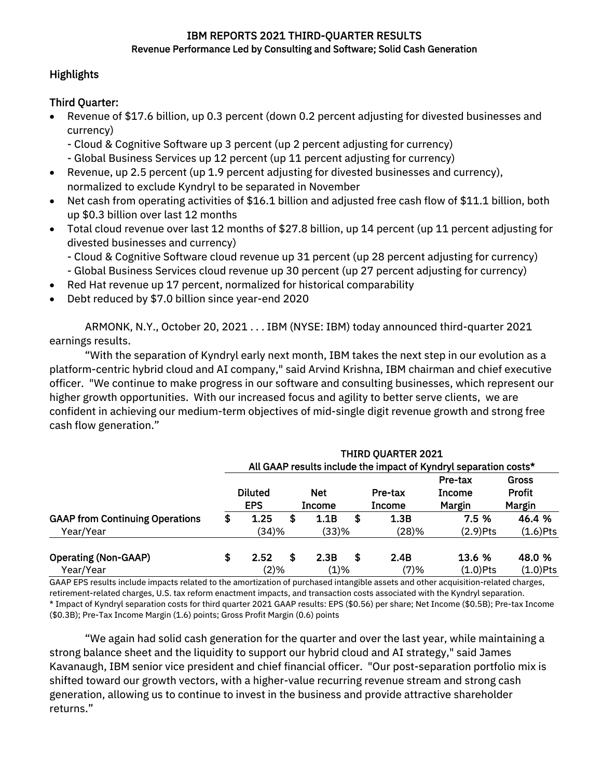### IBM REPORTS 2021 THIRD-QUARTER RESULTS Revenue Performance Led by Consulting and Software; Solid Cash Generation

## **Highlights**

# Third Quarter:

- Revenue of \$17.6 billion, up 0.3 percent (down 0.2 percent adjusting for divested businesses and currency)
	- Cloud & Cognitive Software up 3 percent (up 2 percent adjusting for currency)
	- Global Business Services up 12 percent (up 11 percent adjusting for currency)
- Revenue, up 2.5 percent (up 1.9 percent adjusting for divested businesses and currency), normalized to exclude Kyndryl to be separated in November
- Net cash from operating activities of \$16.1 billion and adjusted free cash flow of \$11.1 billion, both up \$0.3 billion over last 12 months
- Total cloud revenue over last 12 months of \$27.8 billion, up 14 percent (up 11 percent adjusting for divested businesses and currency)
	- Cloud & Cognitive Software cloud revenue up 31 percent (up 28 percent adjusting for currency)
	- Global Business Services cloud revenue up 30 percent (up 27 percent adjusting for currency)
- Red Hat revenue up 17 percent, normalized for historical comparability
- Debt reduced by \$7.0 billion since year-end 2020

ARMONK, N.Y., October 20, 2021 . . . IBM (NYSE: IBM) today announced third-quarter 2021 earnings results.

"With the separation of Kyndryl early next month, IBM takes the next step in our evolution as a platform-centric hybrid cloud and AI company," said Arvind Krishna, IBM chairman and chief executive officer. "We continue to make progress in our software and consulting businesses, which represent our higher growth opportunities. With our increased focus and agility to better serve clients, we are confident in achieving our medium-term objectives of mid-single digit revenue growth and strong free cash flow generation."

|                                          |                              |   |                             |   | <b>THIRD QUARTER 2021</b> | All GAAP results include the impact of Kyndryl separation costs* |                                         |
|------------------------------------------|------------------------------|---|-----------------------------|---|---------------------------|------------------------------------------------------------------|-----------------------------------------|
|                                          | <b>Diluted</b><br><b>EPS</b> |   | <b>Net</b><br><b>Income</b> |   | Pre-tax<br><b>Income</b>  | Pre-tax<br><b>Income</b><br>Margin                               | <b>Gross</b><br><b>Profit</b><br>Margin |
| <b>GAAP from Continuing Operations</b>   | \$<br>1.25                   | S | 1.1B                        | S | 1.3B                      | 7.5 %                                                            | 46.4 %                                  |
| Year/Year                                | (34)%                        |   | (33)%                       |   | (28)%                     | $(2.9)$ Pts                                                      | $(1.6)$ Pts                             |
| <b>Operating (Non-GAAP)</b><br>Year/Year | \$<br>2.52<br>(2)%           | S | 2.3B<br>$(1)\%$             | S | 2.4B<br>(7)%              | <b>13.6 %</b><br>$(1.0)$ Pts                                     | 48.0 %<br>$(1.0)$ Pts                   |

GAAP EPS results include impacts related to the amortization of purchased intangible assets and other acquisition-related charges, retirement-related charges, U.S. tax reform enactment impacts, and transaction costs associated with the Kyndryl separation. \* Impact of Kyndryl separation costs for third quarter 2021 GAAP results: EPS (\$0.56) per share; Net Income (\$0.5B); Pre-tax Income (\$0.3B); Pre-Tax Income Margin (1.6) points; Gross Profit Margin (0.6) points

"We again had solid cash generation for the quarter and over the last year, while maintaining a strong balance sheet and the liquidity to support our hybrid cloud and AI strategy," said James Kavanaugh, IBM senior vice president and chief financial officer. "Our post-separation portfolio mix is shifted toward our growth vectors, with a higher-value recurring revenue stream and strong cash generation, allowing us to continue to invest in the business and provide attractive shareholder returns."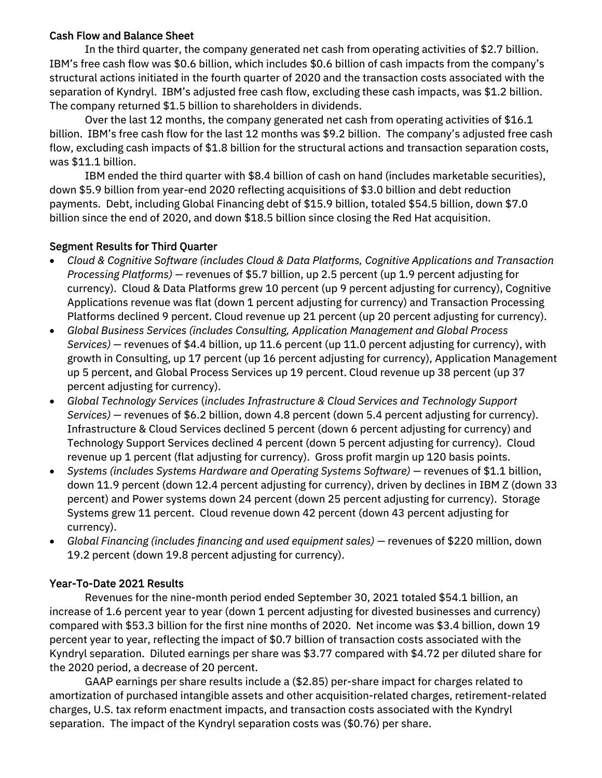### Cash Flow and Balance Sheet

In the third quarter, the company generated net cash from operating activities of \$2.7 billion. IBM's free cash flow was \$0.6 billion, which includes \$0.6 billion of cash impacts from the company's structural actions initiated in the fourth quarter of 2020 and the transaction costs associated with the separation of Kyndryl. IBM's adjusted free cash flow, excluding these cash impacts, was \$1.2 billion. The company returned \$1.5 billion to shareholders in dividends.

Over the last 12 months, the company generated net cash from operating activities of \$16.1 billion. IBM's free cash flow for the last 12 months was \$9.2 billion. The company's adjusted free cash flow, excluding cash impacts of \$1.8 billion for the structural actions and transaction separation costs, was \$11.1 billion.

IBM ended the third quarter with \$8.4 billion of cash on hand (includes marketable securities), down \$5.9 billion from year-end 2020 reflecting acquisitions of \$3.0 billion and debt reduction payments. Debt, including Global Financing debt of \$15.9 billion, totaled \$54.5 billion, down \$7.0 billion since the end of 2020, and down \$18.5 billion since closing the Red Hat acquisition.

# Segment Results for Third Quarter

- *Cloud & Cognitive Software (includes Cloud & Data Platforms, Cognitive Applications and Transaction Processing Platforms) —* revenues of \$5.7 billion, up 2.5 percent (up 1.9 percent adjusting for currency). Cloud & Data Platforms grew 10 percent (up 9 percent adjusting for currency), Cognitive Applications revenue was flat (down 1 percent adjusting for currency) and Transaction Processing Platforms declined 9 percent. Cloud revenue up 21 percent (up 20 percent adjusting for currency).
- *Global Business Services (includes Consulting, Application Management and Global Process Services) —* revenues of \$4.4 billion, up 11.6 percent (up 11.0 percent adjusting for currency), with growth in Consulting, up 17 percent (up 16 percent adjusting for currency), Application Management up 5 percent, and Global Process Services up 19 percent. Cloud revenue up 38 percent (up 37 percent adjusting for currency).
- *Global Technology Services* (*includes Infrastructure & Cloud Services and Technology Support Services) —* revenues of \$6.2 billion, down 4.8 percent (down 5.4 percent adjusting for currency). Infrastructure & Cloud Services declined 5 percent (down 6 percent adjusting for currency) and Technology Support Services declined 4 percent (down 5 percent adjusting for currency). Cloud revenue up 1 percent (flat adjusting for currency). Gross profit margin up 120 basis points.
- *Systems (includes Systems Hardware and Operating Systems Software) —* revenues of \$1.1 billion, down 11.9 percent (down 12.4 percent adjusting for currency), driven by declines in IBM Z (down 33 percent) and Power systems down 24 percent (down 25 percent adjusting for currency). Storage Systems grew 11 percent. Cloud revenue down 42 percent (down 43 percent adjusting for currency).
- *Global Financing (includes financing and used equipment sales) —* revenues of \$220 million, down 19.2 percent (down 19.8 percent adjusting for currency).

# Year-To-Date 2021 Results

Revenues for the nine-month period ended September 30, 2021 totaled \$54.1 billion, an increase of 1.6 percent year to year (down 1 percent adjusting for divested businesses and currency) compared with \$53.3 billion for the first nine months of 2020. Net income was \$3.4 billion, down 19 percent year to year, reflecting the impact of \$0.7 billion of transaction costs associated with the Kyndryl separation. Diluted earnings per share was \$3.77 compared with \$4.72 per diluted share for the 2020 period, a decrease of 20 percent.

GAAP earnings per share results include a (\$2.85) per-share impact for charges related to amortization of purchased intangible assets and other acquisition-related charges, retirement-related charges, U.S. tax reform enactment impacts, and transaction costs associated with the Kyndryl separation. The impact of the Kyndryl separation costs was (\$0.76) per share.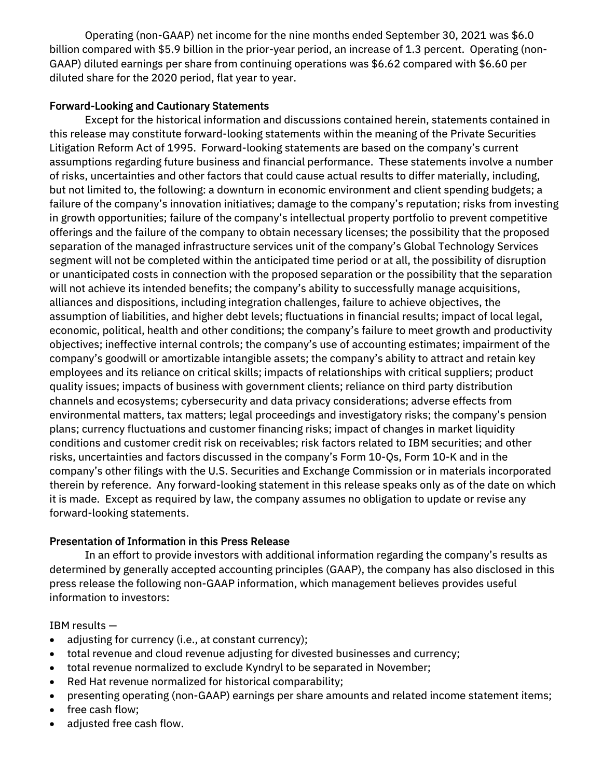Operating (non-GAAP) net income for the nine months ended September 30, 2021 was \$6.0 billion compared with \$5.9 billion in the prior-year period, an increase of 1.3 percent. Operating (non-GAAP) diluted earnings per share from continuing operations was \$6.62 compared with \$6.60 per diluted share for the 2020 period, flat year to year.

# Forward-Looking and Cautionary Statements

Except for the historical information and discussions contained herein, statements contained in this release may constitute forward-looking statements within the meaning of the Private Securities Litigation Reform Act of 1995. Forward-looking statements are based on the company's current assumptions regarding future business and financial performance. These statements involve a number of risks, uncertainties and other factors that could cause actual results to differ materially, including, but not limited to, the following: a downturn in economic environment and client spending budgets; a failure of the company's innovation initiatives; damage to the company's reputation; risks from investing in growth opportunities; failure of the company's intellectual property portfolio to prevent competitive offerings and the failure of the company to obtain necessary licenses; the possibility that the proposed separation of the managed infrastructure services unit of the company's Global Technology Services segment will not be completed within the anticipated time period or at all, the possibility of disruption or unanticipated costs in connection with the proposed separation or the possibility that the separation will not achieve its intended benefits; the company's ability to successfully manage acquisitions, alliances and dispositions, including integration challenges, failure to achieve objectives, the assumption of liabilities, and higher debt levels; fluctuations in financial results; impact of local legal, economic, political, health and other conditions; the company's failure to meet growth and productivity objectives; ineffective internal controls; the company's use of accounting estimates; impairment of the company's goodwill or amortizable intangible assets; the company's ability to attract and retain key employees and its reliance on critical skills; impacts of relationships with critical suppliers; product quality issues; impacts of business with government clients; reliance on third party distribution channels and ecosystems; cybersecurity and data privacy considerations; adverse effects from environmental matters, tax matters; legal proceedings and investigatory risks; the company's pension plans; currency fluctuations and customer financing risks; impact of changes in market liquidity conditions and customer credit risk on receivables; risk factors related to IBM securities; and other risks, uncertainties and factors discussed in the company's Form 10-Qs, Form 10-K and in the company's other filings with the U.S. Securities and Exchange Commission or in materials incorporated therein by reference. Any forward-looking statement in this release speaks only as of the date on which it is made. Except as required by law, the company assumes no obligation to update or revise any forward-looking statements.

## Presentation of Information in this Press Release

In an effort to provide investors with additional information regarding the company's results as determined by generally accepted accounting principles (GAAP), the company has also disclosed in this press release the following non-GAAP information, which management believes provides useful information to investors:

IBM results —

- adjusting for currency (i.e., at constant currency);
- total revenue and cloud revenue adjusting for divested businesses and currency;
- total revenue normalized to exclude Kyndryl to be separated in November;
- Red Hat revenue normalized for historical comparability;
- presenting operating (non-GAAP) earnings per share amounts and related income statement items;
- free cash flow;
- adjusted free cash flow.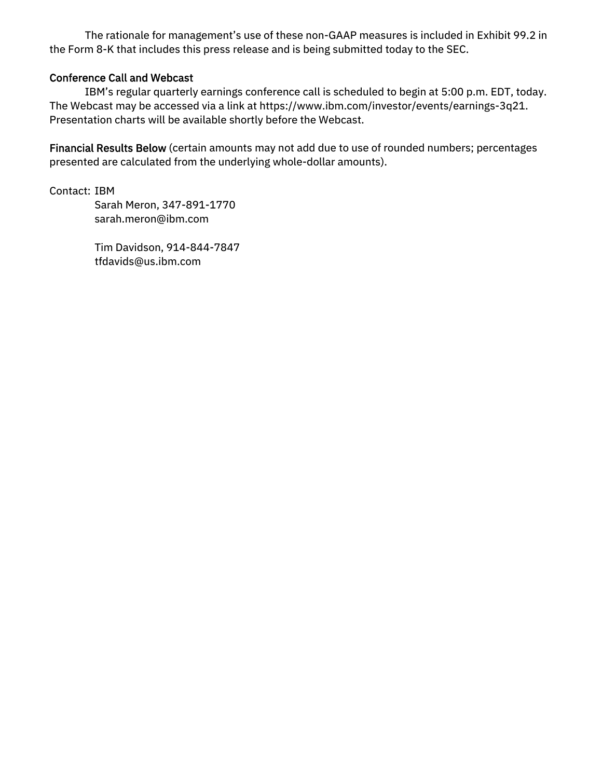The rationale for management's use of these non-GAAP measures is included in Exhibit 99.2 in the Form 8-K that includes this press release and is being submitted today to the SEC.

### Conference Call and Webcast

IBM's regular quarterly earnings conference call is scheduled to begin at 5:00 p.m. EDT, today. The Webcast may be accessed via a link at https://www.ibm.com/investor/events/earnings-3q21. Presentation charts will be available shortly before the Webcast.

Financial Results Below (certain amounts may not add due to use of rounded numbers; percentages presented are calculated from the underlying whole-dollar amounts).

Contact: IBM

 Sarah Meron, 347-891-1770 sarah.meron@ibm.com

 Tim Davidson, 914-844-7847 tfdavids@us.ibm.com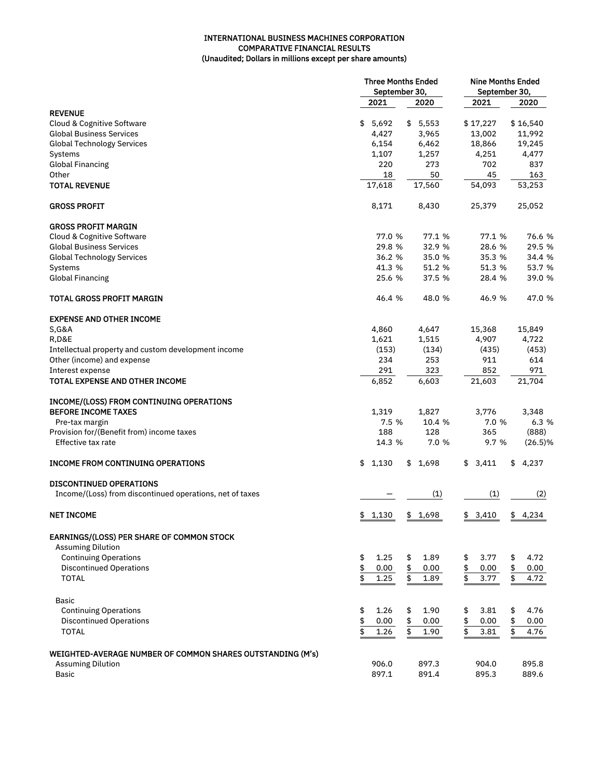### INTERNATIONAL BUSINESS MACHINES CORPORATION COMPARATIVE FINANCIAL RESULTS (Unaudited; Dollars in millions except per share amounts)

|                                                            | <b>Three Months Ended</b><br>September 30, |             | <b>Nine Months Ended</b><br>September 30, |            |  |  |
|------------------------------------------------------------|--------------------------------------------|-------------|-------------------------------------------|------------|--|--|
|                                                            | 2021                                       | 2020        | 2021                                      | 2020       |  |  |
| <b>REVENUE</b>                                             |                                            |             |                                           |            |  |  |
| Cloud & Cognitive Software                                 | \$<br>5,692                                | 5,553<br>\$ | \$17,227                                  | \$16,540   |  |  |
| <b>Global Business Services</b>                            | 4,427                                      | 3,965       | 13,002                                    | 11,992     |  |  |
| <b>Global Technology Services</b>                          | 6,154                                      | 6,462       | 18,866                                    | 19,245     |  |  |
| Systems                                                    | 1,107                                      | 1,257       | 4,251                                     | 4,477      |  |  |
| <b>Global Financing</b>                                    | 220                                        | 273         | 702                                       | 837        |  |  |
| Other                                                      | 18                                         | 50          | 45                                        | 163        |  |  |
| <b>TOTAL REVENUE</b>                                       | 17,618                                     | 17,560      | 54,093                                    | 53,253     |  |  |
| <b>GROSS PROFIT</b>                                        | 8,171                                      | 8,430       | 25,379                                    | 25,052     |  |  |
| <b>GROSS PROFIT MARGIN</b>                                 |                                            |             |                                           |            |  |  |
| Cloud & Cognitive Software                                 | 77.0 %                                     | 77.1 %      | 77.1 %                                    | 76.6 %     |  |  |
| <b>Global Business Services</b>                            | 29.8 %                                     | 32.9 %      | 28.6 %                                    | 29.5 %     |  |  |
| <b>Global Technology Services</b>                          | 36.2 %                                     | 35.0 %      | 35.3 %                                    | 34.4 %     |  |  |
| Systems                                                    | 41.3 %                                     | 51.2 %      | 51.3 %                                    | 53.7 %     |  |  |
| <b>Global Financing</b>                                    | 25.6 %                                     | 37.5 %      | 28.4 %                                    | 39.0 %     |  |  |
| <b>TOTAL GROSS PROFIT MARGIN</b>                           | 46.4 %                                     | 48.0 %      | 46.9 %                                    | 47.0 %     |  |  |
| <b>EXPENSE AND OTHER INCOME</b>                            |                                            |             |                                           |            |  |  |
| <b>S, G&amp;A</b>                                          | 4,860                                      | 4,647       | 15,368                                    | 15,849     |  |  |
| <b>R,D&amp;E</b>                                           | 1,621                                      | 1,515       | 4,907                                     | 4,722      |  |  |
| Intellectual property and custom development income        | (153)                                      | (134)       | (435)                                     | (453)      |  |  |
| Other (income) and expense                                 | 234                                        | 253         | 911                                       | 614        |  |  |
| Interest expense                                           | 291                                        | 323         | 852                                       | 971        |  |  |
| TOTAL EXPENSE AND OTHER INCOME                             | 6,852                                      | 6,603       | 21,603                                    | 21,704     |  |  |
|                                                            |                                            |             |                                           |            |  |  |
| <b>INCOME/(LOSS) FROM CONTINUING OPERATIONS</b>            |                                            |             |                                           |            |  |  |
| <b>BEFORE INCOME TAXES</b>                                 | 1,319                                      | 1,827       | 3,776                                     | 3,348      |  |  |
| Pre-tax margin                                             | 7.5 %                                      | 10.4 %      | 7.0 %                                     | 6.3 %      |  |  |
| Provision for/(Benefit from) income taxes                  | 188                                        | 128         | 365                                       | (888)      |  |  |
| Effective tax rate                                         | 14.3 %                                     | 7.0 %       | 9.7 %                                     | $(26.5)\%$ |  |  |
| <b>INCOME FROM CONTINUING OPERATIONS</b>                   | \$1,130                                    | \$1,698     | \$3,411                                   | \$4,237    |  |  |
| <b>DISCONTINUED OPERATIONS</b>                             |                                            |             |                                           |            |  |  |
| Income/(Loss) from discontinued operations, net of taxes   |                                            | (1)         | (1)                                       | (2)        |  |  |
| <b>NET INCOME</b>                                          | \$1,130                                    | \$1,698     | \$3,410                                   | \$4,234    |  |  |
| <b>EARNINGS/(LOSS) PER SHARE OF COMMON STOCK</b>           |                                            |             |                                           |            |  |  |
| <b>Assuming Dilution</b>                                   |                                            |             |                                           |            |  |  |
| <b>Continuing Operations</b>                               | \$<br>1.25                                 | \$<br>1.89  | 3.77<br>\$                                | 4.72<br>\$ |  |  |
| <b>Discontinued Operations</b>                             | \$<br>0.00                                 | \$<br>0.00  | \$<br>0.00                                | \$<br>0.00 |  |  |
| <b>TOTAL</b>                                               | $\overline{\mathfrak{s}}$<br>1.25          | \$<br>1.89  | $\overline{\mathfrak{s}}$<br>3.77         | \$<br>4.72 |  |  |
|                                                            |                                            |             |                                           |            |  |  |
| Basic                                                      |                                            |             |                                           |            |  |  |
| <b>Continuing Operations</b>                               | \$<br>1.26                                 | \$<br>1.90  | 3.81<br>\$                                | \$<br>4.76 |  |  |
| <b>Discontinued Operations</b>                             | $\frac{1}{2}$<br>0.00                      | \$<br>0.00  | \$<br>0.00                                | \$<br>0.00 |  |  |
| <b>TOTAL</b>                                               | $\overline{\mathfrak{s}}$<br>1.26          | \$<br>1.90  | \$<br>3.81                                | \$<br>4.76 |  |  |
| WEIGHTED-AVERAGE NUMBER OF COMMON SHARES OUTSTANDING (M's) |                                            |             |                                           |            |  |  |
| <b>Assuming Dilution</b>                                   | 906.0                                      | 897.3       | 904.0                                     | 895.8      |  |  |
| <b>Basic</b>                                               | 897.1                                      | 891.4       | 895.3                                     | 889.6      |  |  |
|                                                            |                                            |             |                                           |            |  |  |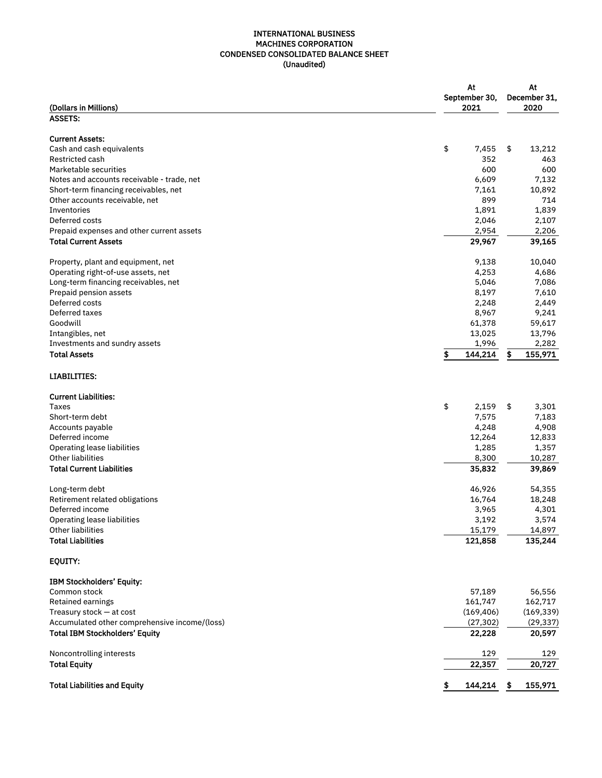#### INTERNATIONAL BUSINESS MACHINES CORPORATION CONDENSED CONSOLIDATED BALANCE SHEET (Unaudited)

|                                               | At<br>September 30, | At<br>December 31, |
|-----------------------------------------------|---------------------|--------------------|
| (Dollars in Millions)                         | 2021                | 2020               |
| <b>ASSETS:</b>                                |                     |                    |
| <b>Current Assets:</b>                        |                     |                    |
| Cash and cash equivalents                     | \$<br>7,455         | \$<br>13,212       |
| Restricted cash                               | 352                 | 463                |
| Marketable securities                         | 600                 | 600                |
| Notes and accounts receivable - trade, net    | 6,609               | 7,132              |
| Short-term financing receivables, net         | 7,161               | 10,892             |
| Other accounts receivable, net                | 899                 | 714                |
| Inventories                                   | 1,891               | 1,839              |
| Deferred costs                                | 2,046               | 2,107              |
| Prepaid expenses and other current assets     | 2,954               | 2,206              |
| <b>Total Current Assets</b>                   | 29,967              | 39,165             |
| Property, plant and equipment, net            | 9,138               | 10,040             |
| Operating right-of-use assets, net            | 4,253               | 4,686              |
| Long-term financing receivables, net          | 5,046               | 7,086              |
| Prepaid pension assets                        | 8,197               | 7,610              |
| Deferred costs                                | 2,248               | 2,449              |
| Deferred taxes                                | 8,967               | 9,241              |
| Goodwill                                      | 61,378              | 59,617             |
| Intangibles, net                              | 13,025              | 13,796             |
| Investments and sundry assets                 | 1,996               | 2,282              |
| <b>Total Assets</b>                           | 144,214<br>\$       | 155,971<br>\$      |
| <b>LIABILITIES:</b>                           |                     |                    |
| <b>Current Liabilities:</b>                   |                     |                    |
| Taxes                                         | \$<br>2,159         | \$<br>3,301        |
| Short-term debt                               | 7,575               | 7,183              |
| Accounts payable                              | 4,248               | 4,908              |
| Deferred income                               | 12,264              | 12,833             |
| Operating lease liabilities                   | 1,285               | 1,357              |
| Other liabilities                             | 8,300               | 10,287             |
| <b>Total Current Liabilities</b>              | 35,832              | 39,869             |
| Long-term debt                                | 46,926              | 54,355             |
| Retirement related obligations                | 16,764              | 18,248             |
| Deferred income                               | 3,965               | 4,301              |
| Operating lease liabilities                   | 3,192               | 3,574              |
| <b>Other liabilities</b>                      | 15,179              | 14,897             |
| <b>Total Liabilities</b>                      | 121,858             | 135,244            |
| <b>EQUITY:</b>                                |                     |                    |
| <b>IBM Stockholders' Equity:</b>              |                     |                    |
| Common stock                                  | 57,189              | 56,556             |
| Retained earnings                             | 161,747             | 162,717            |
| Treasury stock - at cost                      | (169, 406)          | (169, 339)         |
| Accumulated other comprehensive income/(loss) | (27, 302)           | (29, 337)          |
| <b>Total IBM Stockholders' Equity</b>         | 22,228              | 20,597             |
| Noncontrolling interests                      | 129                 | 129                |
| <b>Total Equity</b>                           | 22,357              | 20,727             |
| <b>Total Liabilities and Equity</b>           | 144,214<br>S        | 155,971<br>\$      |
|                                               |                     |                    |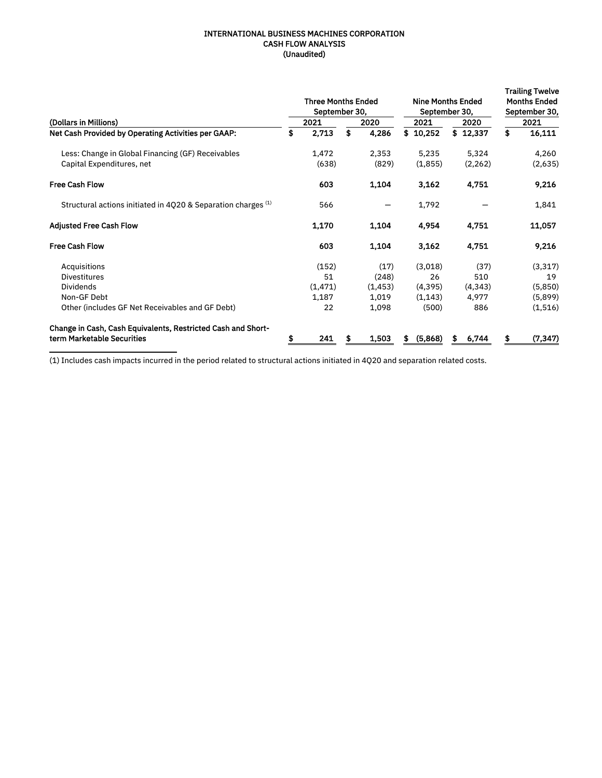#### INTERNATIONAL BUSINESS MACHINES CORPORATION CASH FLOW ANALYSIS (Unaudited)

|                                                                                            | <b>Three Months Ended</b><br>September 30, |             | <b>Nine Months Ended</b><br>September 30, |    | <b>Trailing Twelve</b><br><b>Months Ended</b><br>September 30, |    |          |
|--------------------------------------------------------------------------------------------|--------------------------------------------|-------------|-------------------------------------------|----|----------------------------------------------------------------|----|----------|
| (Dollars in Millions)                                                                      | 2021                                       | 2020        | 2021                                      |    | 2020                                                           |    | 2021     |
| Net Cash Provided by Operating Activities per GAAP:                                        | \$<br>2,713                                | \$<br>4,286 | \$10.252                                  |    | \$12,337                                                       | \$ | 16,111   |
| Less: Change in Global Financing (GF) Receivables                                          | 1,472                                      | 2,353       | 5,235                                     |    | 5,324                                                          |    | 4,260    |
| Capital Expenditures, net                                                                  | (638)                                      | (829)       | (1,855)                                   |    | (2, 262)                                                       |    | (2,635)  |
| <b>Free Cash Flow</b>                                                                      | 603                                        | 1,104       | 3,162                                     |    | 4,751                                                          |    | 9,216    |
| Structural actions initiated in 4020 & Separation charges (1)                              | 566                                        |             | 1,792                                     |    |                                                                |    | 1,841    |
| <b>Adjusted Free Cash Flow</b>                                                             | 1,170                                      | 1,104       | 4,954                                     |    | 4,751                                                          |    | 11,057   |
| <b>Free Cash Flow</b>                                                                      | 603                                        | 1,104       | 3,162                                     |    | 4,751                                                          |    | 9,216    |
| Acquisitions                                                                               | (152)                                      | (17)        | (3,018)                                   |    | (37)                                                           |    | (3,317)  |
| <b>Divestitures</b>                                                                        | 51                                         | (248)       | 26                                        |    | 510                                                            |    | 19       |
| <b>Dividends</b>                                                                           | (1, 471)                                   | (1, 453)    | (4, 395)                                  |    | (4, 343)                                                       |    | (5,850)  |
| Non-GF Debt                                                                                | 1,187                                      | 1,019       | (1, 143)                                  |    | 4,977                                                          |    | (5,899)  |
| Other (includes GF Net Receivables and GF Debt)                                            | 22                                         | 1,098       | (500)                                     |    | 886                                                            |    | (1,516)  |
| Change in Cash, Cash Equivalents, Restricted Cash and Short-<br>term Marketable Securities | 241                                        | 1,503       | (5,868)<br>5                              | s. | 6,744                                                          |    | (7, 347) |
|                                                                                            |                                            |             |                                           |    |                                                                |    |          |

(1) Includes cash impacts incurred in the period related to structural actions initiated in 4Q20 and separation related costs.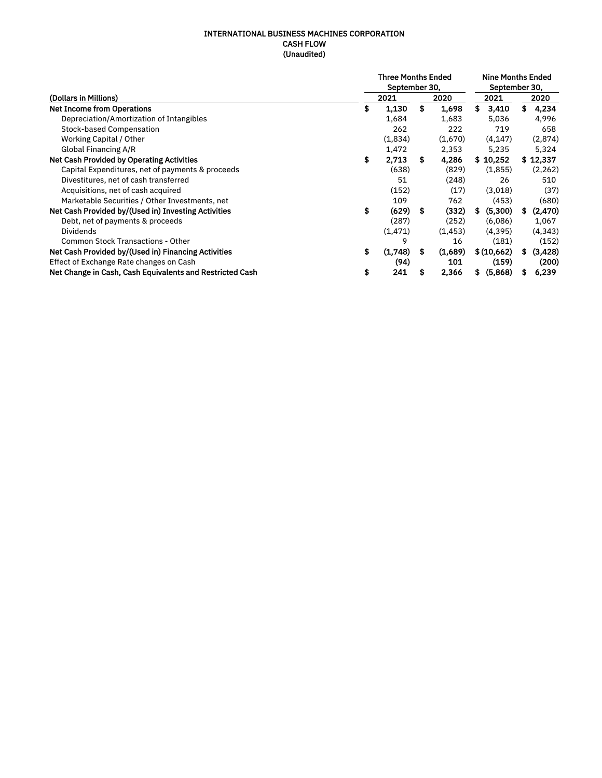#### INTERNATIONAL BUSINESS MACHINES CORPORATION CASH FLOW (Unaudited)

|                                                          |    | <b>Nine Months Ended</b><br>September 30, |    |          |               |     |          |
|----------------------------------------------------------|----|-------------------------------------------|----|----------|---------------|-----|----------|
| (Dollars in Millions)                                    |    | 2021                                      |    | 2020     | 2021          |     | 2020     |
| <b>Net Income from Operations</b>                        | \$ | 1,130                                     | \$ | 1,698    | s<br>3,410    | \$. | 4,234    |
| Depreciation/Amortization of Intangibles                 |    | 1,684                                     |    | 1,683    | 5,036         |     | 4,996    |
| <b>Stock-based Compensation</b>                          |    | 262                                       |    | 222      | 719           |     | 658      |
| Working Capital / Other                                  |    | (1,834)                                   |    | (1,670)  | (4, 147)      |     | (2,874)  |
| Global Financing A/R                                     |    | 1,472                                     |    | 2,353    | 5,235         |     | 5,324    |
| Net Cash Provided by Operating Activities                | \$ | 2.713                                     | s. | 4,286    | \$10,252      |     | \$12,337 |
| Capital Expenditures, net of payments & proceeds         |    | (638)                                     |    | (829)    | (1,855)       |     | (2, 262) |
| Divestitures, net of cash transferred                    |    | 51                                        |    | (248)    | 26            |     | 510      |
| Acquisitions, net of cash acquired                       |    | (152)                                     |    | (17)     | (3,018)       |     | (37)     |
| Marketable Securities / Other Investments, net           |    | 109                                       |    | 762      | (453)         |     | (680)    |
| Net Cash Provided by/(Used in) Investing Activities      | \$ | (629)                                     | S  | (332)    | (5,300)<br>S  | S.  | (2, 470) |
| Debt, net of payments & proceeds                         |    | (287)                                     |    | (252)    | (6,086)       |     | 1,067    |
| <b>Dividends</b>                                         |    | (1, 471)                                  |    | (1, 453) | (4, 395)      |     | (4, 343) |
| <b>Common Stock Transactions - Other</b>                 |    | 9                                         |    | 16       | (181)         |     | (152)    |
| Net Cash Provided by/(Used in) Financing Activities      | \$ | (1,748)                                   | s  | (1,689)  | \$ (10,662)   | \$  | (3, 428) |
| Effect of Exchange Rate changes on Cash                  |    | (94)                                      |    | 101      | (159)         |     | (200)    |
| Net Change in Cash, Cash Equivalents and Restricted Cash | \$ | 241                                       | \$ | 2,366    | (5,868)<br>\$ | S   | 6,239    |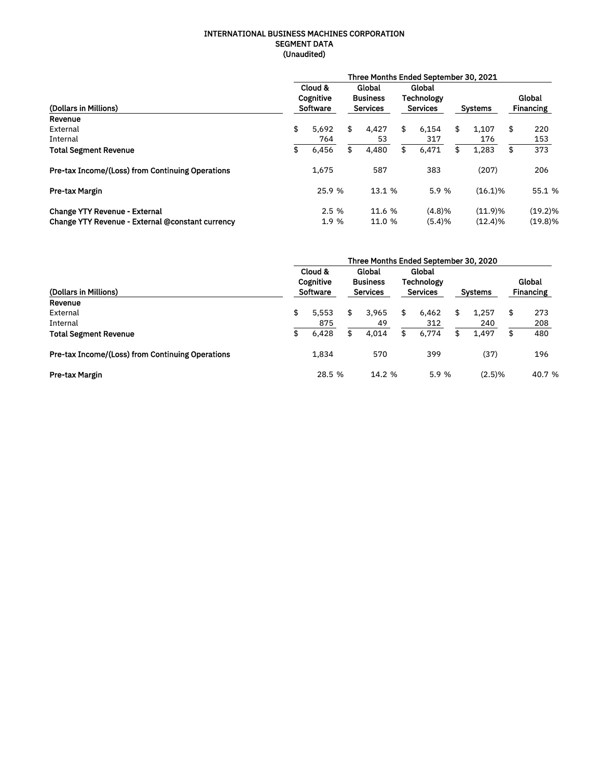#### INTERNATIONAL BUSINESS MACHINES CORPORATION SEGMENT DATA (Unaudited)

|                                                         | Three Months Ended September 30, 2021 |                                  |    |                                              |                                                |        |    |                |    |                            |  |  |  |  |  |
|---------------------------------------------------------|---------------------------------------|----------------------------------|----|----------------------------------------------|------------------------------------------------|--------|----|----------------|----|----------------------------|--|--|--|--|--|
| (Dollars in Millions)                                   |                                       | Cloud &<br>Cognitive<br>Software |    | Global<br><b>Business</b><br><b>Services</b> | Global<br><b>Technology</b><br><b>Services</b> |        |    | <b>Systems</b> |    | Global<br><b>Financing</b> |  |  |  |  |  |
| Revenue                                                 |                                       |                                  |    |                                              |                                                |        |    |                |    |                            |  |  |  |  |  |
| External                                                | \$                                    | 5,692                            | \$ | 4,427                                        | \$                                             | 6,154  | \$ | 1,107          | \$ | 220                        |  |  |  |  |  |
| Internal                                                |                                       | 764                              |    | 53                                           |                                                | 317    |    | 176            |    | 153                        |  |  |  |  |  |
| <b>Total Segment Revenue</b>                            | \$                                    | 6,456                            | \$ | 4,480                                        | \$                                             | 6,471  | \$ | 1,283          | \$ | 373                        |  |  |  |  |  |
| <b>Pre-tax Income/(Loss) from Continuing Operations</b> |                                       | 1,675                            |    | 587                                          |                                                | 383    |    | (207)          |    | 206                        |  |  |  |  |  |
| <b>Pre-tax Margin</b>                                   |                                       | 25.9 %                           |    | 13.1 %                                       |                                                | 5.9%   |    | $(16.1)\%$     |    | 55.1 %                     |  |  |  |  |  |
| <b>Change YTY Revenue - External</b>                    |                                       | 2.5%                             |    | 11.6 %                                       |                                                | (4.8)% |    | $(11.9)\%$     |    | $(19.2)\%$                 |  |  |  |  |  |
| Change YTY Revenue - External @constant currency        |                                       | 1.9 %                            |    | 11.0 %                                       |                                                | (5.4)% |    | $(12.4)\%$     |    | $(19.8)\%$                 |  |  |  |  |  |

|                                                         | Three Months Ended September 30, 2020 |                                         |    |                                              |    |                                                |    |                |    |                            |  |  |  |  |
|---------------------------------------------------------|---------------------------------------|-----------------------------------------|----|----------------------------------------------|----|------------------------------------------------|----|----------------|----|----------------------------|--|--|--|--|
| (Dollars in Millions)                                   |                                       | Cloud &<br>Cognitive<br><b>Software</b> |    | Global<br><b>Business</b><br><b>Services</b> |    | Global<br><b>Technology</b><br><b>Services</b> |    | <b>Systems</b> |    | Global<br><b>Financing</b> |  |  |  |  |
| Revenue                                                 |                                       |                                         |    |                                              |    |                                                |    |                |    |                            |  |  |  |  |
| External                                                | \$                                    | 5.553                                   | \$ | 3,965                                        | \$ | 6,462                                          | \$ | 1,257          | \$ | 273                        |  |  |  |  |
| Internal                                                |                                       | 875                                     |    | 49                                           |    | 312                                            |    | 240            |    | 208                        |  |  |  |  |
| <b>Total Segment Revenue</b>                            | \$                                    | 6,428                                   | \$ | 4.014                                        | \$ | 6,774                                          | \$ | 1.497          | \$ | 480                        |  |  |  |  |
| <b>Pre-tax Income/(Loss) from Continuing Operations</b> |                                       | 1,834                                   |    | 570                                          |    | 399                                            |    | (37)           |    | 196                        |  |  |  |  |
| Pre-tax Margin                                          |                                       | 28.5 %                                  |    | 14.2 %                                       |    | 5.9 %                                          |    | (2.5)%         |    | 40.7 %                     |  |  |  |  |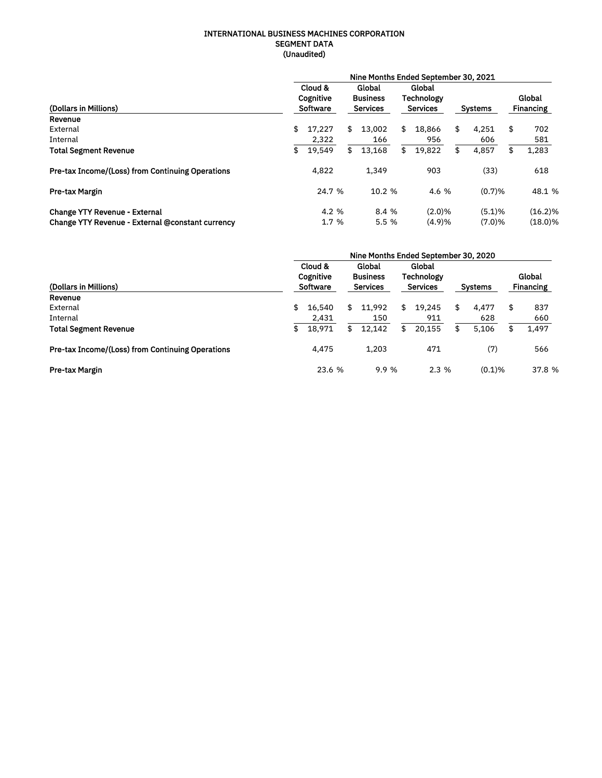#### INTERNATIONAL BUSINESS MACHINES CORPORATION SEGMENT DATA (Unaudited)

|                                                         | Nine Months Ended September 30, 2021 |                                  |                                              |        |                                         |        |    |                |    |                            |  |  |  |  |  |
|---------------------------------------------------------|--------------------------------------|----------------------------------|----------------------------------------------|--------|-----------------------------------------|--------|----|----------------|----|----------------------------|--|--|--|--|--|
| (Dollars in Millions)                                   |                                      | Cloud &<br>Cognitive<br>Software | Global<br><b>Business</b><br><b>Services</b> |        | Global<br>Technology<br><b>Services</b> |        |    | <b>Systems</b> |    | Global<br><b>Financing</b> |  |  |  |  |  |
| Revenue                                                 |                                      |                                  |                                              |        |                                         |        |    |                |    |                            |  |  |  |  |  |
| External                                                | \$                                   | 17.227                           | \$                                           | 13.002 | \$                                      | 18.866 | \$ | 4.251          | \$ | 702                        |  |  |  |  |  |
| Internal                                                |                                      | 2,322                            |                                              | 166    |                                         | 956    |    | 606            |    | 581                        |  |  |  |  |  |
| <b>Total Segment Revenue</b>                            | \$                                   | 19.549                           | \$                                           | 13.168 | \$                                      | 19.822 | \$ | 4,857          | \$ | 1,283                      |  |  |  |  |  |
| <b>Pre-tax Income/(Loss) from Continuing Operations</b> |                                      | 4,822                            |                                              | 1,349  |                                         | 903    |    | (33)           |    | 618                        |  |  |  |  |  |
| <b>Pre-tax Margin</b>                                   |                                      | 24.7 %                           |                                              | 10.2 % |                                         | 4.6 %  |    | (0.7)%         |    | 48.1 %                     |  |  |  |  |  |
| <b>Change YTY Revenue - External</b>                    |                                      | 4.2%                             |                                              | 8.4 %  |                                         | (2.0)% |    | (5.1)%         |    | $(16.2)\%$                 |  |  |  |  |  |
| Change YTY Revenue - External @constant currency        |                                      | 1.7%                             |                                              | 5.5%   |                                         | (4.9)% |    | (7.0)%         |    | $(18.0)\%$                 |  |  |  |  |  |

|                                                         | Nine Months Ended September 30, 2020 |                                         |    |                                              |    |                                                |    |                |    |                            |  |  |  |  |  |
|---------------------------------------------------------|--------------------------------------|-----------------------------------------|----|----------------------------------------------|----|------------------------------------------------|----|----------------|----|----------------------------|--|--|--|--|--|
| (Dollars in Millions)                                   |                                      | Cloud &<br>Cognitive<br><b>Software</b> |    | Global<br><b>Business</b><br><b>Services</b> |    | Global<br><b>Technology</b><br><b>Services</b> |    | <b>Systems</b> |    | Global<br><b>Financing</b> |  |  |  |  |  |
| Revenue                                                 |                                      |                                         |    |                                              |    |                                                |    |                |    |                            |  |  |  |  |  |
| External                                                | \$                                   | 16.540                                  | \$ | 11,992                                       | \$ | 19.245                                         | \$ | 4,477          | \$ | 837                        |  |  |  |  |  |
| Internal                                                |                                      | 2,431                                   |    | 150                                          |    | 911                                            |    | 628            |    | 660                        |  |  |  |  |  |
| <b>Total Segment Revenue</b>                            | \$                                   | 18.971                                  | \$ | 12.142                                       | \$ | 20.155                                         | \$ | 5,106          | £  | 1,497                      |  |  |  |  |  |
| <b>Pre-tax Income/(Loss) from Continuing Operations</b> |                                      | 4.475                                   |    | 1.203                                        |    | 471                                            |    | (7)            |    | 566                        |  |  |  |  |  |
| Pre-tax Margin                                          |                                      | 23.6 %                                  |    | 9.9 %                                        |    | 2.3%                                           |    | $(0.1)$ %      |    | 37.8 %                     |  |  |  |  |  |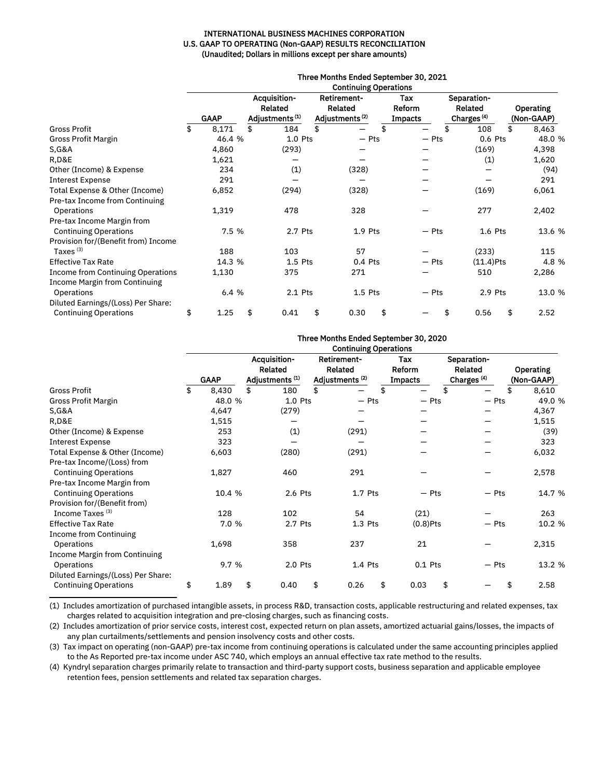#### INTERNATIONAL BUSINESS MACHINES CORPORATION U.S. GAAP TO OPERATING (Non-GAAP) RESULTS RECONCILIATION (Unaudited; Dollars in millions except per share amounts)

|                                     | Three Months Ended September 30, 2021<br><b>Continuing Operations</b> |             |    |                                                       |     |                                                             |    |                                 |                                                  |    |                                |  |  |  |
|-------------------------------------|-----------------------------------------------------------------------|-------------|----|-------------------------------------------------------|-----|-------------------------------------------------------------|----|---------------------------------|--------------------------------------------------|----|--------------------------------|--|--|--|
|                                     |                                                                       | <b>GAAP</b> |    | Acquisition-<br>Related<br>Adjustments <sup>(1)</sup> |     | <b>Retirement-</b><br>Related<br>Adjustments <sup>(2)</sup> |    | Tax<br>Reform<br><b>Impacts</b> | Separation-<br>Related<br>Charges <sup>(4)</sup> |    | <b>Operating</b><br>(Non-GAAP) |  |  |  |
| <b>Gross Profit</b>                 | \$                                                                    | 8,171       | \$ | 184                                                   | \$. |                                                             | \$ | \$                              | 108                                              | \$ | 8,463                          |  |  |  |
| Gross Profit Margin                 |                                                                       | 46.4 %      |    | $1.0$ Pts                                             |     | $-$ Pts                                                     |    | $-$ Pts                         | 0.6 Pts                                          |    | 48.0 %                         |  |  |  |
| <b>S, G&amp;A</b>                   |                                                                       | 4,860       |    | (293)                                                 |     |                                                             |    |                                 | (169)                                            |    | 4,398                          |  |  |  |
| R,D&E                               |                                                                       | 1,621       |    |                                                       |     |                                                             |    |                                 | (1)                                              |    | 1,620                          |  |  |  |
| Other (Income) & Expense            |                                                                       | 234         |    | (1)                                                   |     | (328)                                                       |    |                                 |                                                  |    | (94)                           |  |  |  |
| <b>Interest Expense</b>             |                                                                       | 291         |    |                                                       |     |                                                             |    |                                 |                                                  |    | 291                            |  |  |  |
| Total Expense & Other (Income)      |                                                                       | 6,852       |    | (294)                                                 |     | (328)                                                       |    |                                 | (169)                                            |    | 6,061                          |  |  |  |
| Pre-tax Income from Continuing      |                                                                       |             |    |                                                       |     |                                                             |    |                                 |                                                  |    |                                |  |  |  |
| Operations                          |                                                                       | 1,319       |    | 478                                                   |     | 328                                                         |    |                                 | 277                                              |    | 2,402                          |  |  |  |
| Pre-tax Income Margin from          |                                                                       |             |    |                                                       |     |                                                             |    |                                 |                                                  |    |                                |  |  |  |
| <b>Continuing Operations</b>        |                                                                       | 7.5 %       |    | 2.7 Pts                                               |     | $1.9$ Pts                                                   |    | $-$ Pts                         | $1.6$ Pts                                        |    | 13.6 %                         |  |  |  |
| Provision for/(Benefit from) Income |                                                                       |             |    |                                                       |     |                                                             |    |                                 |                                                  |    |                                |  |  |  |
| Taxes <sup>(3)</sup>                |                                                                       | 188         |    | 103                                                   |     | 57                                                          |    |                                 | (233)                                            |    | 115                            |  |  |  |
| <b>Effective Tax Rate</b>           |                                                                       | 14.3 %      |    | $1.5$ Pts                                             |     | 0.4 Pts                                                     |    | $-$ Pts                         | $(11.4)$ Pts                                     |    | 4.8 %                          |  |  |  |
| Income from Continuing Operations   |                                                                       | 1,130       |    | 375                                                   |     | 271                                                         |    |                                 | 510                                              |    | 2,286                          |  |  |  |
| Income Margin from Continuing       |                                                                       |             |    |                                                       |     |                                                             |    |                                 |                                                  |    |                                |  |  |  |
| Operations                          |                                                                       | 6.4%        |    | 2.1 Pts                                               |     | $1.5$ Pts                                                   |    | $-$ Pts                         | 2.9 Pts                                          |    | 13.0 %                         |  |  |  |
| Diluted Earnings/(Loss) Per Share:  |                                                                       |             |    |                                                       |     |                                                             |    |                                 |                                                  |    |                                |  |  |  |
| <b>Continuing Operations</b>        | \$                                                                    | 1.25        | \$ | 0.41                                                  | \$  | 0.30                                                        | \$ | \$                              | 0.56                                             | \$ | 2.52                           |  |  |  |

#### Three Months Ended September 30, 2020 Continuing Operations

|                                    | <b>GAAP</b> |        | Acquisition-<br>Related<br>Adjustments <sup>(1)</sup> | <b>Retirement-</b><br>Related<br>Adjustments <sup>(2)</sup> | Tax<br>Reform<br><b>Impacts</b> | Separation-<br><b>Related</b><br>Charges <sup>(4)</sup> |         | <b>Operating</b><br>(Non-GAAP) |
|------------------------------------|-------------|--------|-------------------------------------------------------|-------------------------------------------------------------|---------------------------------|---------------------------------------------------------|---------|--------------------------------|
| <b>Gross Profit</b>                | \$          | 8,430  | \$<br>180                                             | \$                                                          | \$                              | \$                                                      |         | \$<br>8,610                    |
| Gross Profit Margin                |             | 48.0 % | $1.0$ Pts                                             | $-$ Pts                                                     | $-$ Pts                         |                                                         | $-$ Pts | 49.0 %                         |
| <b>S, G&amp;A</b>                  |             | 4,647  | (279)                                                 |                                                             |                                 |                                                         |         | 4,367                          |
| R,D&E                              |             | 1,515  |                                                       |                                                             |                                 |                                                         |         | 1,515                          |
| Other (Income) & Expense           |             | 253    | (1)                                                   | (291)                                                       |                                 |                                                         |         | (39)                           |
| <b>Interest Expense</b>            |             | 323    |                                                       |                                                             |                                 |                                                         |         | 323                            |
| Total Expense & Other (Income)     |             | 6,603  | (280)                                                 | (291)                                                       |                                 |                                                         |         | 6,032                          |
| Pre-tax Income/(Loss) from         |             |        |                                                       |                                                             |                                 |                                                         |         |                                |
| <b>Continuing Operations</b>       |             | 1,827  | 460                                                   | 291                                                         |                                 |                                                         |         | 2,578                          |
| Pre-tax Income Margin from         |             |        |                                                       |                                                             |                                 |                                                         |         |                                |
| <b>Continuing Operations</b>       |             | 10.4 % | 2.6 Pts                                               | 1.7 Pts                                                     | $-$ Pts                         |                                                         | $-$ Pts | 14.7 %                         |
| Provision for/(Benefit from)       |             |        |                                                       |                                                             |                                 |                                                         |         |                                |
| Income Taxes <sup>(3)</sup>        |             | 128    | 102                                                   | 54                                                          | (21)                            |                                                         |         | 263                            |
| <b>Effective Tax Rate</b>          |             | 7.0 %  | 2.7 Pts                                               | $1.3$ Pts                                                   | $(0.8)$ Pts                     |                                                         | - Pts   | 10.2 %                         |
| <b>Income from Continuing</b>      |             |        |                                                       |                                                             |                                 |                                                         |         |                                |
| Operations                         |             | 1,698  | 358                                                   | 237                                                         | 21                              |                                                         |         | 2,315                          |
| Income Margin from Continuing      |             |        |                                                       |                                                             |                                 |                                                         |         |                                |
| Operations                         |             | 9.7 %  | 2.0 Pts                                               | 1.4 Pts                                                     | 0.1 Pts                         |                                                         | $-$ Pts | 13.2 %                         |
| Diluted Earnings/(Loss) Per Share: |             |        |                                                       |                                                             |                                 |                                                         |         |                                |
| <b>Continuing Operations</b>       | \$          | 1.89   | \$<br>0.40                                            | \$<br>0.26                                                  | \$<br>0.03                      | \$                                                      |         | \$<br>2.58                     |

(1) Includes amortization of purchased intangible assets, in process R&D, transaction costs, applicable restructuring and related expenses, tax charges related to acquisition integration and pre-closing charges, such as financing costs.

(2) Includes amortization of prior service costs, interest cost, expected return on plan assets, amortized actuarial gains/losses, the impacts of any plan curtailments/settlements and pension insolvency costs and other costs.

(3) Tax impact on operating (non-GAAP) pre-tax income from continuing operations is calculated under the same accounting principles applied to the As Reported pre-tax income under ASC 740, which employs an annual effective tax rate method to the results.

(4) Kyndryl separation charges primarily relate to transaction and third-party support costs, business separation and applicable employee retention fees, pension settlements and related tax separation charges.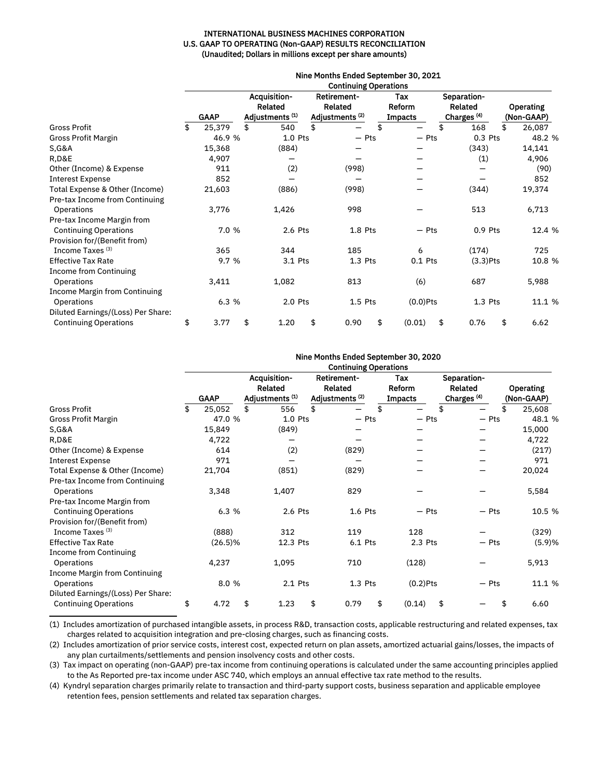#### INTERNATIONAL BUSINESS MACHINES CORPORATION U.S. GAAP TO OPERATING (Non-GAAP) RESULTS RECONCILIATION (Unaudited; Dollars in millions except per share amounts)

|                                      | Nine Months Ended September 30, 2021<br><b>Continuing Operations</b> |             |    |                                                              |    |                                                                    |    |                                 |                                                  |    |                                |  |  |  |
|--------------------------------------|----------------------------------------------------------------------|-------------|----|--------------------------------------------------------------|----|--------------------------------------------------------------------|----|---------------------------------|--------------------------------------------------|----|--------------------------------|--|--|--|
|                                      |                                                                      | <b>GAAP</b> |    | Acquisition-<br><b>Related</b><br>Adjustments <sup>(1)</sup> |    | <b>Retirement-</b><br><b>Related</b><br>Adjustments <sup>(2)</sup> |    | Tax<br>Reform<br><b>Impacts</b> | Separation-<br>Related<br>Charges <sup>(4)</sup> |    | <b>Operating</b><br>(Non-GAAP) |  |  |  |
| <b>Gross Profit</b>                  | \$                                                                   | 25,379      | \$ | 540                                                          | \$ |                                                                    | \$ |                                 | \$<br>168                                        | \$ | 26,087                         |  |  |  |
| Gross Profit Margin                  |                                                                      | 46.9 %      |    | $1.0$ Pts                                                    |    | $-$ Pts                                                            |    | $-$ Pts                         | 0.3 Pts                                          |    | 48.2 %                         |  |  |  |
| <b>S, G&amp;A</b>                    |                                                                      | 15,368      |    | (884)                                                        |    |                                                                    |    |                                 | (343)                                            |    | 14,141                         |  |  |  |
| R,D&E                                |                                                                      | 4,907       |    |                                                              |    |                                                                    |    |                                 | (1)                                              |    | 4,906                          |  |  |  |
| Other (Income) & Expense             |                                                                      | 911         |    | (2)                                                          |    | (998)                                                              |    |                                 |                                                  |    | (90)                           |  |  |  |
| <b>Interest Expense</b>              |                                                                      | 852         |    |                                                              |    |                                                                    |    |                                 |                                                  |    | 852                            |  |  |  |
| Total Expense & Other (Income)       |                                                                      | 21,603      |    | (886)                                                        |    | (998)                                                              |    |                                 | (344)                                            |    | 19,374                         |  |  |  |
| Pre-tax Income from Continuing       |                                                                      |             |    |                                                              |    |                                                                    |    |                                 |                                                  |    |                                |  |  |  |
| Operations                           |                                                                      | 3,776       |    | 1,426                                                        |    | 998                                                                |    |                                 | 513                                              |    | 6,713                          |  |  |  |
| Pre-tax Income Margin from           |                                                                      |             |    |                                                              |    |                                                                    |    |                                 |                                                  |    |                                |  |  |  |
| <b>Continuing Operations</b>         |                                                                      | 7.0 %       |    | 2.6 Pts                                                      |    | $1.8$ Pts                                                          |    | $-$ Pts                         | $0.9$ Pts                                        |    | 12.4 %                         |  |  |  |
| Provision for/(Benefit from)         |                                                                      |             |    |                                                              |    |                                                                    |    |                                 |                                                  |    |                                |  |  |  |
| Income Taxes <sup>(3)</sup>          |                                                                      | 365         |    | 344                                                          |    | 185                                                                |    | 6                               | (174)                                            |    | 725                            |  |  |  |
| <b>Effective Tax Rate</b>            |                                                                      | 9.7 %       |    | 3.1 Pts                                                      |    | $1.3$ Pts                                                          |    | $0.1$ Pts                       | $(3.3)$ Pts                                      |    | 10.8 %                         |  |  |  |
| <b>Income from Continuing</b>        |                                                                      |             |    |                                                              |    |                                                                    |    |                                 |                                                  |    |                                |  |  |  |
| Operations                           |                                                                      | 3,411       |    | 1,082                                                        |    | 813                                                                |    | (6)                             | 687                                              |    | 5,988                          |  |  |  |
| <b>Income Margin from Continuing</b> |                                                                      |             |    |                                                              |    |                                                                    |    |                                 |                                                  |    |                                |  |  |  |
| Operations                           |                                                                      | 6.3 %       |    | 2.0 Pts                                                      |    | $1.5$ Pts                                                          |    | $(0.0)$ Pts                     | $1.3$ Pts                                        |    | 11.1 %                         |  |  |  |
| Diluted Earnings/(Loss) Per Share:   |                                                                      |             |    |                                                              |    |                                                                    |    |                                 |                                                  |    |                                |  |  |  |
| <b>Continuing Operations</b>         | \$                                                                   | 3.77        | \$ | 1.20                                                         | \$ | 0.90                                                               | \$ | \$<br>(0.01)                    | 0.76                                             | \$ | 6.62                           |  |  |  |

|                                                                  | Nine Months Ended September 30, 2020<br><b>Continuing Operations</b> |             |    |                                                                     |    |                                                                    |    |                                 |                                                  |         |                                |
|------------------------------------------------------------------|----------------------------------------------------------------------|-------------|----|---------------------------------------------------------------------|----|--------------------------------------------------------------------|----|---------------------------------|--------------------------------------------------|---------|--------------------------------|
|                                                                  |                                                                      | <b>GAAP</b> |    | <b>Acquisition-</b><br><b>Related</b><br>Adjustments <sup>(1)</sup> |    | <b>Retirement-</b><br><b>Related</b><br>Adjustments <sup>(2)</sup> |    | Tax<br>Reform<br><b>Impacts</b> | Separation-<br>Related<br>Charges <sup>(4)</sup> |         | <b>Operating</b><br>(Non-GAAP) |
| <b>Gross Profit</b>                                              | \$                                                                   | 25,052      | \$ | 556                                                                 | \$ |                                                                    | \$ |                                 | \$                                               |         | \$<br>25,608                   |
| Gross Profit Margin                                              |                                                                      | 47.0 %      |    | 1.0 Pts                                                             |    | $-$ Pts                                                            |    | $-$ Pts                         |                                                  | $-$ Pts | 48.1 %                         |
| <b>S, G&amp;A</b>                                                |                                                                      | 15,849      |    | (849)                                                               |    |                                                                    |    |                                 |                                                  |         | 15,000                         |
| R,D&E                                                            |                                                                      | 4,722       |    |                                                                     |    |                                                                    |    |                                 |                                                  |         | 4,722                          |
| Other (Income) & Expense                                         |                                                                      | 614         |    | (2)                                                                 |    | (829)                                                              |    |                                 |                                                  |         | (217)                          |
| <b>Interest Expense</b>                                          |                                                                      | 971         |    |                                                                     |    |                                                                    |    |                                 |                                                  |         | 971                            |
| Total Expense & Other (Income)<br>Pre-tax Income from Continuing |                                                                      | 21,704      |    | (851)                                                               |    | (829)                                                              |    |                                 |                                                  |         | 20,024                         |
| Operations                                                       |                                                                      | 3,348       |    | 1,407                                                               |    | 829                                                                |    |                                 |                                                  |         | 5,584                          |
| Pre-tax Income Margin from                                       |                                                                      |             |    |                                                                     |    |                                                                    |    |                                 |                                                  |         |                                |
| <b>Continuing Operations</b><br>Provision for/(Benefit from)     |                                                                      | 6.3 %       |    | 2.6 Pts                                                             |    | $1.6$ Pts                                                          |    | $-$ Pts                         |                                                  | $-$ Pts | 10.5 %                         |
| Income Taxes <sup>(3)</sup>                                      |                                                                      | (888)       |    | 312                                                                 |    | 119                                                                |    | 128                             |                                                  |         | (329)                          |
| <b>Effective Tax Rate</b>                                        |                                                                      | $(26.5)\%$  |    | 12.3 Pts                                                            |    | 6.1 Pts                                                            |    | 2.3 Pts                         |                                                  | $-$ Pts | (5.9)%                         |
| Income from Continuing                                           |                                                                      |             |    |                                                                     |    |                                                                    |    |                                 |                                                  |         |                                |
| Operations                                                       |                                                                      | 4,237       |    | 1,095                                                               |    | 710                                                                |    | (128)                           |                                                  |         | 5,913                          |
| <b>Income Margin from Continuing</b>                             |                                                                      |             |    |                                                                     |    |                                                                    |    |                                 |                                                  |         |                                |
| Operations                                                       |                                                                      | 8.0 %       |    | 2.1 Pts                                                             |    | $1.3$ Pts                                                          |    | $(0.2)$ Pts                     |                                                  | — Pts   | 11.1 %                         |
| Diluted Earnings/(Loss) Per Share:                               |                                                                      |             |    |                                                                     |    |                                                                    |    |                                 |                                                  |         |                                |
| <b>Continuing Operations</b>                                     | \$                                                                   | 4.72        | \$ | 1.23                                                                | \$ | \$<br>0.79                                                         |    | \$<br>(0.14)                    |                                                  |         | \$<br>6.60                     |

(1) Includes amortization of purchased intangible assets, in process R&D, transaction costs, applicable restructuring and related expenses, tax charges related to acquisition integration and pre-closing charges, such as financing costs.

(2) Includes amortization of prior service costs, interest cost, expected return on plan assets, amortized actuarial gains/losses, the impacts of any plan curtailments/settlements and pension insolvency costs and other costs.

(3) Tax impact on operating (non-GAAP) pre-tax income from continuing operations is calculated under the same accounting principles applied to the As Reported pre-tax income under ASC 740, which employs an annual effective tax rate method to the results.

(4) Kyndryl separation charges primarily relate to transaction and third-party support costs, business separation and applicable employee retention fees, pension settlements and related tax separation charges.